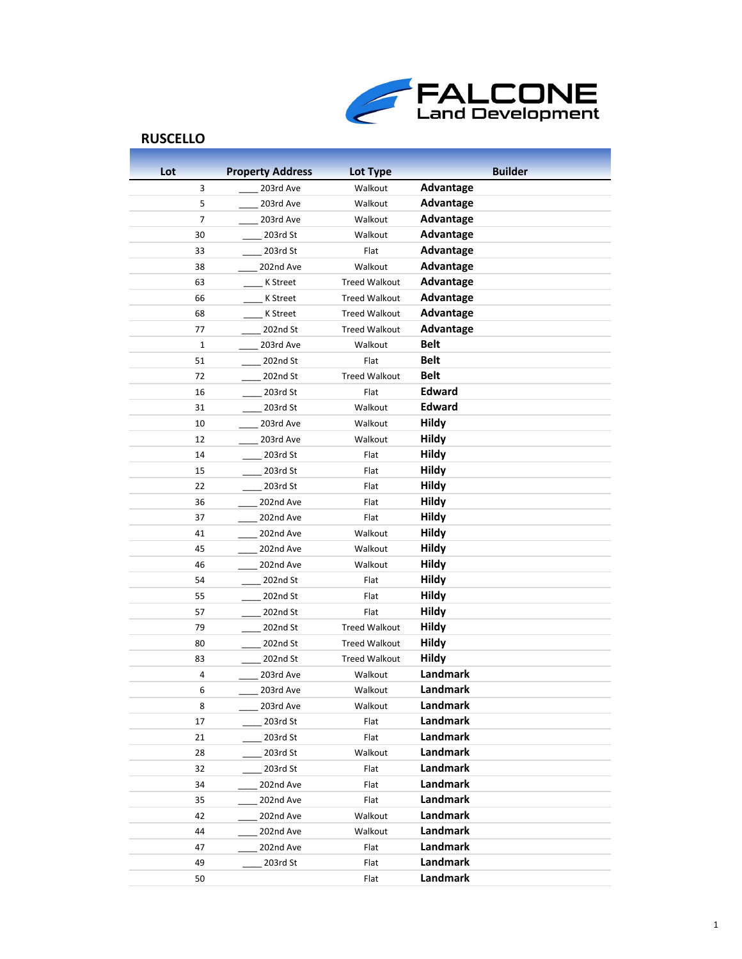

| Lot            | <b>Property Address</b> | Lot Type             | <b>Builder</b>           |
|----------------|-------------------------|----------------------|--------------------------|
| 3              | 203rd Ave               | Walkout              | Advantage                |
| 5              | 203rd Ave               | Walkout              | Advantage                |
| $\overline{7}$ | 203rd Ave               | Walkout              | Advantage                |
| 30             | 203rd St                | Walkout              | Advantage                |
| 33             | 203rd St                | Flat                 | Advantage                |
| 38             | 202nd Ave               | Walkout              | Advantage                |
| 63             | K Street                | <b>Treed Walkout</b> | Advantage                |
| 66             | <b>K</b> Street         | <b>Treed Walkout</b> | Advantage                |
| 68             | <b>K</b> Street         | <b>Treed Walkout</b> | Advantage                |
| 77             | 202nd St                | <b>Treed Walkout</b> | Advantage                |
| $\mathbf{1}$   | 203rd Ave               | Walkout              | Belt                     |
| 51             | 202nd St                | Flat                 | <b>Belt</b>              |
| 72             | 202nd St                | <b>Treed Walkout</b> | <b>Belt</b>              |
| 16             | 203rd St                | Flat                 | <b>Edward</b>            |
| 31             | 203rd St                | Walkout              | Edward                   |
| 10             | 203rd Ave               | Walkout              | <b>Hildy</b>             |
| 12             | 203rd Ave               | Walkout              | <b>Hildy</b>             |
| 14             | 203rd St                | Flat                 | <b>Hildy</b>             |
| 15             | 203rd St                | Flat                 | Hildy                    |
| 22             | 203rd St                | Flat                 | <b>Hildy</b>             |
| 36             | 202nd Ave               | Flat                 | <b>Hildy</b>             |
| 37             | 202nd Ave               | Flat                 | <b>Hildy</b>             |
| 41             | 202nd Ave               | Walkout              | <b>Hildy</b>             |
| 45             | 202nd Ave               | Walkout              | <b>Hildy</b>             |
| 46             | 202nd Ave               | Walkout              | <b>Hildy</b>             |
| 54             | 202nd St                | Flat                 | <b>Hildy</b>             |
| 55             | 202nd St                | Flat                 | <b>Hildy</b>             |
| 57             | 202nd St                | Flat                 | <b>Hildy</b>             |
| 79             | 202nd St                | <b>Treed Walkout</b> | <b>Hildy</b>             |
| 80             | 202nd St                | <b>Treed Walkout</b> | <b>Hildy</b>             |
| 83             | 202nd St                | <b>Treed Walkout</b> | <b>Hildy</b><br>Landmark |
| 4<br>6         | 203rd Ave               | Walkout              | Landmark                 |
|                | 203rd Ave               | Walkout              | Landmark                 |
| 8<br>17        | 203rd Ave<br>203rd St   | Walkout<br>Flat      | Landmark                 |
| 21             | 203rd St                | Flat                 | Landmark                 |
| 28             | 203rd St                | Walkout              | Landmark                 |
| 32             | 203rd St                | Flat                 | Landmark                 |
| 34             | 202nd Ave               | Flat                 | Landmark                 |
| 35             | 202nd Ave               | Flat                 | Landmark                 |
| 42             | 202nd Ave               | Walkout              | Landmark                 |
| 44             | 202nd Ave               | Walkout              | Landmark                 |
| 47             | 202nd Ave               | Flat                 | Landmark                 |
| 49             | $203rd$ St              | Flat                 | Landmark                 |
| 50             |                         | Flat                 | Landmark                 |